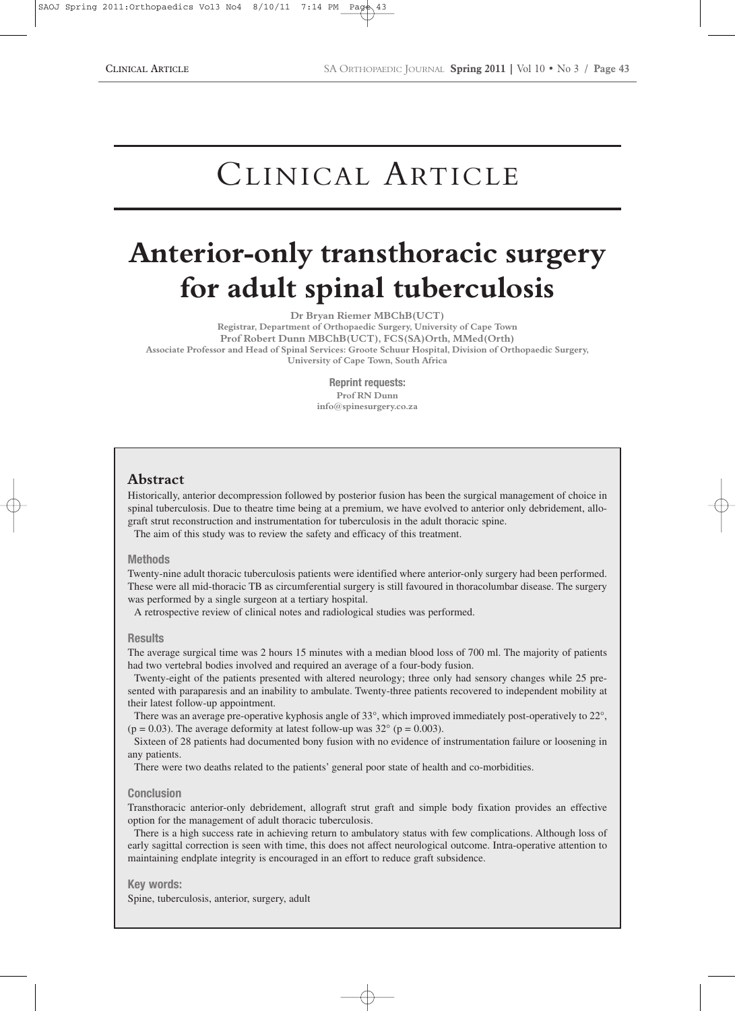# CLINICAL ARTICLE

## **Anterior-only transthoracic surgery for adult spinal tuberculosis**

**Dr Bryan Riemer MBChB(UCT)**

**Registrar, Department of Orthopaedic Surgery, University of Cape Town Prof Robert Dunn MBChB(UCT), FCS(SA)Orth, MMed(Orth) Associate Professor and Head of Spinal Services: Groote Schuur Hospital, Division of Orthopaedic Surgery, University of Cape Town, South Africa**

> **Reprint requests: Prof RN Dunn info@spinesurgery.co.za**

## **Abstract**

Historically, anterior decompression followed by posterior fusion has been the surgical management of choice in spinal tuberculosis. Due to theatre time being at a premium, we have evolved to anterior only debridement, allograft strut reconstruction and instrumentation for tuberculosis in the adult thoracic spine.

The aim of this study was to review the safety and efficacy of this treatment.

#### **Methods**

Twenty-nine adult thoracic tuberculosis patients were identified where anterior-only surgery had been performed. These were all mid-thoracic TB as circumferential surgery is still favoured in thoracolumbar disease. The surgery was performed by a single surgeon at a tertiary hospital.

A retrospective review of clinical notes and radiological studies was performed.

#### **Results**

The average surgical time was 2 hours 15 minutes with a median blood loss of 700 ml. The majority of patients had two vertebral bodies involved and required an average of a four-body fusion.

Twenty-eight of the patients presented with altered neurology; three only had sensory changes while 25 presented with paraparesis and an inability to ambulate. Twenty-three patients recovered to independent mobility at their latest follow-up appointment.

There was an average pre-operative kyphosis angle of 33°, which improved immediately post-operatively to 22°, ( $p = 0.03$ ). The average deformity at latest follow-up was 32 $\degree$  ( $p = 0.003$ ).

Sixteen of 28 patients had documented bony fusion with no evidence of instrumentation failure or loosening in any patients.

There were two deaths related to the patients' general poor state of health and co-morbidities.

#### **Conclusion**

Transthoracic anterior-only debridement, allograft strut graft and simple body fixation provides an effective option for the management of adult thoracic tuberculosis.

There is a high success rate in achieving return to ambulatory status with few complications. Although loss of early sagittal correction is seen with time, this does not affect neurological outcome. Intra-operative attention to maintaining endplate integrity is encouraged in an effort to reduce graft subsidence.

#### **Key words:**

Spine, tuberculosis, anterior, surgery, adult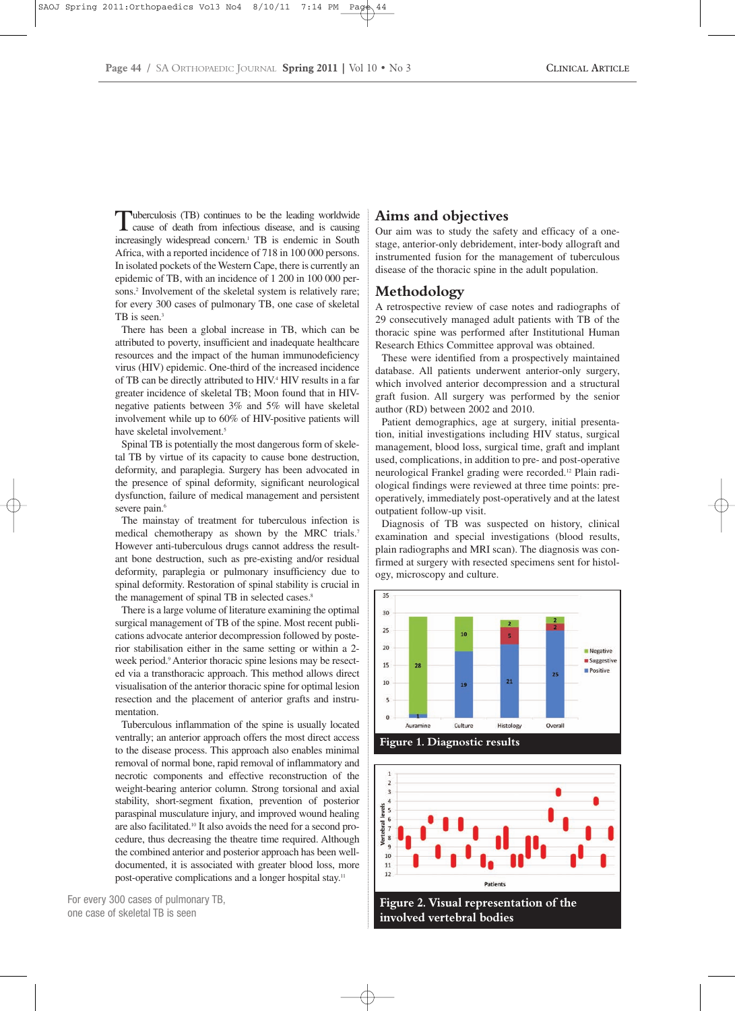Tuberculosis (TB) continues to be the leading worldwide<br>cause of death from infectious disease, and is causing increasingly widespread concern.<sup>1</sup> TB is endemic in South Africa, with a reported incidence of 718 in 100 000 persons. In isolated pockets of the Western Cape, there is currently an epidemic of TB, with an incidence of 1 200 in 100 000 persons.2 Involvement of the skeletal system is relatively rare; for every 300 cases of pulmonary TB, one case of skeletal TB is seen.<sup>3</sup>

There has been a global increase in TB, which can be attributed to poverty, insufficient and inadequate healthcare resources and the impact of the human immunodeficiency virus (HIV) epidemic. One-third of the increased incidence of TB can be directly attributed to HIV.4 HIV results in a far greater incidence of skeletal TB; Moon found that in HIVnegative patients between 3% and 5% will have skeletal involvement while up to 60% of HIV-positive patients will have skeletal involvement.<sup>5</sup>

Spinal TB is potentially the most dangerous form of skeletal TB by virtue of its capacity to cause bone destruction, deformity, and paraplegia. Surgery has been advocated in the presence of spinal deformity, significant neurological dysfunction, failure of medical management and persistent severe pain.<sup>6</sup>

The mainstay of treatment for tuberculous infection is medical chemotherapy as shown by the MRC trials.7 However anti-tuberculous drugs cannot address the resultant bone destruction, such as pre-existing and/or residual deformity, paraplegia or pulmonary insufficiency due to spinal deformity. Restoration of spinal stability is crucial in the management of spinal TB in selected cases.<sup>8</sup>

There is a large volume of literature examining the optimal surgical management of TB of the spine. Most recent publications advocate anterior decompression followed by posterior stabilisation either in the same setting or within a 2 week period.<sup>9</sup> Anterior thoracic spine lesions may be resected via a transthoracic approach. This method allows direct visualisation of the anterior thoracic spine for optimal lesion resection and the placement of anterior grafts and instrumentation.

Tuberculous inflammation of the spine is usually located ventrally; an anterior approach offers the most direct access to the disease process. This approach also enables minimal removal of normal bone, rapid removal of inflammatory and necrotic components and effective reconstruction of the weight-bearing anterior column. Strong torsional and axial stability, short-segment fixation, prevention of posterior paraspinal musculature injury, and improved wound healing are also facilitated.10 It also avoids the need for a second procedure, thus decreasing the theatre time required. Although the combined anterior and posterior approach has been welldocumented, it is associated with greater blood loss, more post-operative complications and a longer hospital stay.11



## **Aims and objectives**

Our aim was to study the safety and efficacy of a onestage, anterior-only debridement, inter-body allograft and instrumented fusion for the management of tuberculous disease of the thoracic spine in the adult population.

## **Methodology**

A retrospective review of case notes and radiographs of 29 consecutively managed adult patients with TB of the thoracic spine was performed after Institutional Human Research Ethics Committee approval was obtained.

These were identified from a prospectively maintained database. All patients underwent anterior-only surgery, which involved anterior decompression and a structural graft fusion. All surgery was performed by the senior author (RD) between 2002 and 2010.

Patient demographics, age at surgery, initial presentation, initial investigations including HIV status, surgical management, blood loss, surgical time, graft and implant used, complications, in addition to pre- and post-operative neurological Frankel grading were recorded.12 Plain radiological findings were reviewed at three time points: preoperatively, immediately post-operatively and at the latest outpatient follow-up visit.

Diagnosis of TB was suspected on history, clinical examination and special investigations (blood results, plain radiographs and MRI scan). The diagnosis was confirmed at surgery with resected specimens sent for histology, microscopy and culture.





**Figure 2. Visual representation of the involved vertebral bodies**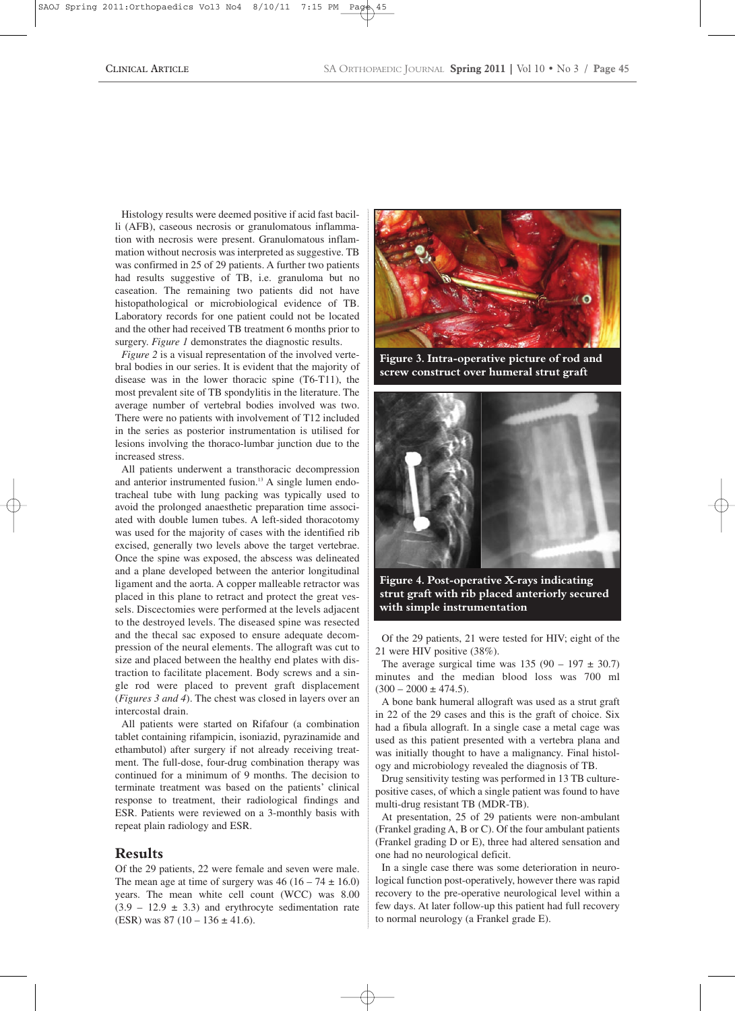Histology results were deemed positive if acid fast bacilli (AFB), caseous necrosis or granulomatous inflammation with necrosis were present. Granulomatous inflammation without necrosis was interpreted as suggestive. TB was confirmed in 25 of 29 patients. A further two patients had results suggestive of TB, i.e. granuloma but no caseation. The remaining two patients did not have histopathological or microbiological evidence of TB. Laboratory records for one patient could not be located and the other had received TB treatment 6 months prior to surgery. *Figure 1* demonstrates the diagnostic results.

*Figure 2* is a visual representation of the involved vertebral bodies in our series. It is evident that the majority of disease was in the lower thoracic spine (T6-T11), the most prevalent site of TB spondylitis in the literature. The average number of vertebral bodies involved was two. There were no patients with involvement of T12 included in the series as posterior instrumentation is utilised for lesions involving the thoraco-lumbar junction due to the increased stress.

All patients underwent a transthoracic decompression and anterior instrumented fusion.<sup>13</sup> A single lumen endotracheal tube with lung packing was typically used to avoid the prolonged anaesthetic preparation time associated with double lumen tubes. A left-sided thoracotomy was used for the majority of cases with the identified rib excised, generally two levels above the target vertebrae. Once the spine was exposed, the abscess was delineated and a plane developed between the anterior longitudinal ligament and the aorta. A copper malleable retractor was placed in this plane to retract and protect the great vessels. Discectomies were performed at the levels adjacent to the destroyed levels. The diseased spine was resected and the thecal sac exposed to ensure adequate decompression of the neural elements. The allograft was cut to size and placed between the healthy end plates with distraction to facilitate placement. Body screws and a single rod were placed to prevent graft displacement (*Figures 3 and 4*). The chest was closed in layers over an intercostal drain.

All patients were started on Rifafour (a combination tablet containing rifampicin, isoniazid, pyrazinamide and ethambutol) after surgery if not already receiving treatment. The full-dose, four-drug combination therapy was continued for a minimum of 9 months. The decision to terminate treatment was based on the patients' clinical response to treatment, their radiological findings and ESR. Patients were reviewed on a 3-monthly basis with repeat plain radiology and ESR.

## **Results**

Of the 29 patients, 22 were female and seven were male. The mean age at time of surgery was  $46 (16 - 74 \pm 16.0)$ years. The mean white cell count (WCC) was 8.00  $(3.9 - 12.9 \pm 3.3)$  and erythrocyte sedimentation rate (ESR) was  $87 (10 - 136 \pm 41.6)$ .



**Figure 3. Intra-operative picture of rod and screw construct over humeral strut graft**



**Figure 4. Post-operative X-rays indicating strut graft with rib placed anteriorly secured with simple instrumentation**

Of the 29 patients, 21 were tested for HIV; eight of the 21 were HIV positive (38%).

The average surgical time was  $135 (90 - 197 \pm 30.7)$ minutes and the median blood loss was 700 ml  $(300 - 2000 \pm 474.5)$ .

A bone bank humeral allograft was used as a strut graft in 22 of the 29 cases and this is the graft of choice. Six had a fibula allograft. In a single case a metal cage was used as this patient presented with a vertebra plana and was initially thought to have a malignancy. Final histology and microbiology revealed the diagnosis of TB.

Drug sensitivity testing was performed in 13 TB culturepositive cases, of which a single patient was found to have multi-drug resistant TB (MDR-TB).

At presentation, 25 of 29 patients were non-ambulant (Frankel grading A, B or C). Of the four ambulant patients (Frankel grading D or E), three had altered sensation and one had no neurological deficit.

In a single case there was some deterioration in neurological function post-operatively, however there was rapid recovery to the pre-operative neurological level within a few days. At later follow-up this patient had full recovery to normal neurology (a Frankel grade E).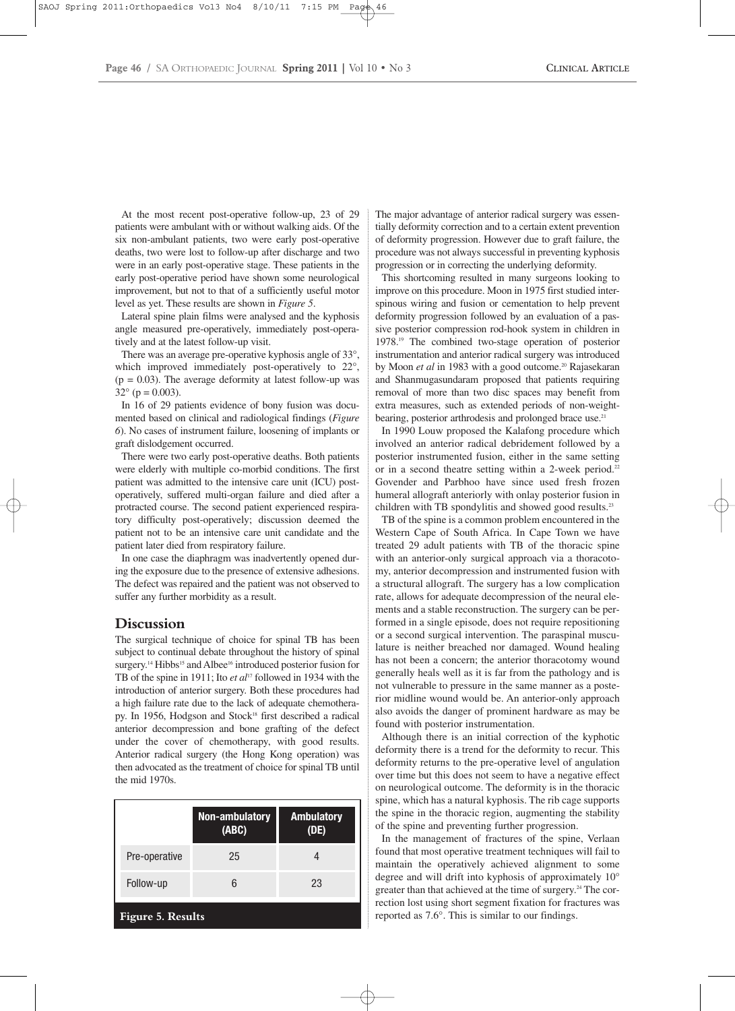At the most recent post-operative follow-up, 23 of 29 patients were ambulant with or without walking aids. Of the six non-ambulant patients, two were early post-operative deaths, two were lost to follow-up after discharge and two were in an early post-operative stage. These patients in the early post-operative period have shown some neurological improvement, but not to that of a sufficiently useful motor level as yet. These results are shown in *Figure 5*.

Lateral spine plain films were analysed and the kyphosis angle measured pre-operatively, immediately post-operatively and at the latest follow-up visit.

There was an average pre-operative kyphosis angle of 33°, which improved immediately post-operatively to 22°,  $(p = 0.03)$ . The average deformity at latest follow-up was  $32^{\circ}$  (p = 0.003).

In 16 of 29 patients evidence of bony fusion was documented based on clinical and radiological findings (*Figure 6*). No cases of instrument failure, loosening of implants or graft dislodgement occurred.

There were two early post-operative deaths. Both patients were elderly with multiple co-morbid conditions. The first patient was admitted to the intensive care unit (ICU) postoperatively, suffered multi-organ failure and died after a protracted course. The second patient experienced respiratory difficulty post-operatively; discussion deemed the patient not to be an intensive care unit candidate and the patient later died from respiratory failure.

In one case the diaphragm was inadvertently opened during the exposure due to the presence of extensive adhesions. The defect was repaired and the patient was not observed to suffer any further morbidity as a result.

### **Discussion**

The surgical technique of choice for spinal TB has been subject to continual debate throughout the history of spinal surgery.<sup>14</sup> Hibbs<sup>15</sup> and Albee<sup>16</sup> introduced posterior fusion for TB of the spine in 1911; Ito *et al*<sup>17</sup> followed in 1934 with the introduction of anterior surgery. Both these procedures had a high failure rate due to the lack of adequate chemotherapy. In 1956, Hodgson and Stock<sup>18</sup> first described a radical anterior decompression and bone grafting of the defect under the cover of chemotherapy, with good results. Anterior radical surgery (the Hong Kong operation) was then advocated as the treatment of choice for spinal TB until the mid 1970s.

|                  | Non-ambulatory<br>(ABC) | <b>Ambulatory</b><br>(DE) |
|------------------|-------------------------|---------------------------|
| Pre-operative    | 25                      |                           |
| Follow-up        |                         | 23                        |
| Fioure 5 Results |                         |                           |

The major advantage of anterior radical surgery was essentially deformity correction and to a certain extent prevention of deformity progression. However due to graft failure, the procedure was not always successful in preventing kyphosis progression or in correcting the underlying deformity.

This shortcoming resulted in many surgeons looking to improve on this procedure. Moon in 1975 first studied interspinous wiring and fusion or cementation to help prevent deformity progression followed by an evaluation of a passive posterior compression rod-hook system in children in 1978.19 The combined two-stage operation of posterior instrumentation and anterior radical surgery was introduced by Moon *et al* in 1983 with a good outcome.<sup>20</sup> Rajasekaran and Shanmugasundaram proposed that patients requiring removal of more than two disc spaces may benefit from extra measures, such as extended periods of non-weightbearing, posterior arthrodesis and prolonged brace use.<sup>21</sup>

In 1990 Louw proposed the Kalafong procedure which involved an anterior radical debridement followed by a posterior instrumented fusion, either in the same setting or in a second theatre setting within a 2-week period.<sup>22</sup> Govender and Parbhoo have since used fresh frozen humeral allograft anteriorly with onlay posterior fusion in children with TB spondylitis and showed good results.<sup>23</sup>

TB of the spine is a common problem encountered in the Western Cape of South Africa. In Cape Town we have treated 29 adult patients with TB of the thoracic spine with an anterior-only surgical approach via a thoracotomy, anterior decompression and instrumented fusion with a structural allograft. The surgery has a low complication rate, allows for adequate decompression of the neural elements and a stable reconstruction. The surgery can be performed in a single episode, does not require repositioning or a second surgical intervention. The paraspinal musculature is neither breached nor damaged. Wound healing has not been a concern; the anterior thoracotomy wound generally heals well as it is far from the pathology and is not vulnerable to pressure in the same manner as a posterior midline wound would be. An anterior-only approach also avoids the danger of prominent hardware as may be found with posterior instrumentation.

Although there is an initial correction of the kyphotic deformity there is a trend for the deformity to recur. This deformity returns to the pre-operative level of angulation over time but this does not seem to have a negative effect on neurological outcome. The deformity is in the thoracic spine, which has a natural kyphosis. The rib cage supports the spine in the thoracic region, augmenting the stability of the spine and preventing further progression.

In the management of fractures of the spine, Verlaan found that most operative treatment techniques will fail to maintain the operatively achieved alignment to some degree and will drift into kyphosis of approximately 10° greater than that achieved at the time of surgery.<sup>24</sup> The correction lost using short segment fixation for fractures was reported as 7.6°. This is similar to our findings.